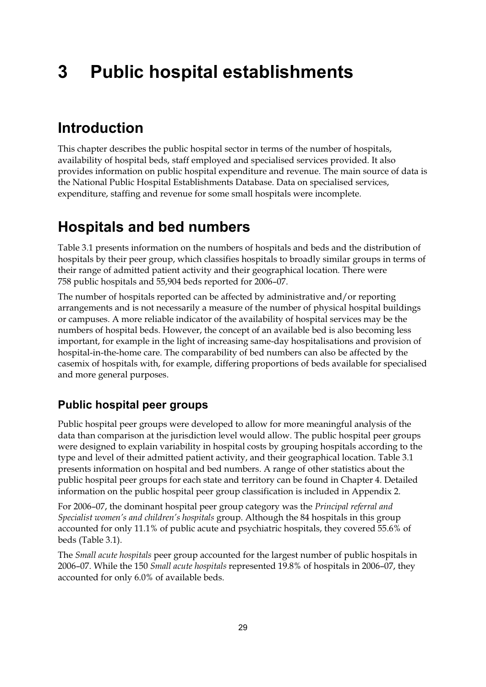# **3 Public hospital establishments**

# **Introduction**

This chapter describes the public hospital sector in terms of the number of hospitals, availability of hospital beds, staff employed and specialised services provided. It also provides information on public hospital expenditure and revenue. The main source of data is the National Public Hospital Establishments Database. Data on specialised services, expenditure, staffing and revenue for some small hospitals were incomplete.

# **Hospitals and bed numbers**

Table 3.1 presents information on the numbers of hospitals and beds and the distribution of hospitals by their peer group, which classifies hospitals to broadly similar groups in terms of their range of admitted patient activity and their geographical location. There were 758 public hospitals and 55,904 beds reported for 2006–07.

The number of hospitals reported can be affected by administrative and/or reporting arrangements and is not necessarily a measure of the number of physical hospital buildings or campuses. A more reliable indicator of the availability of hospital services may be the numbers of hospital beds. However, the concept of an available bed is also becoming less important, for example in the light of increasing same-day hospitalisations and provision of hospital-in-the-home care. The comparability of bed numbers can also be affected by the casemix of hospitals with, for example, differing proportions of beds available for specialised and more general purposes.

#### **Public hospital peer groups**

Public hospital peer groups were developed to allow for more meaningful analysis of the data than comparison at the jurisdiction level would allow. The public hospital peer groups were designed to explain variability in hospital costs by grouping hospitals according to the type and level of their admitted patient activity, and their geographical location. Table 3.1 presents information on hospital and bed numbers. A range of other statistics about the public hospital peer groups for each state and territory can be found in Chapter 4. Detailed information on the public hospital peer group classification is included in Appendix 2.

For 2006–07, the dominant hospital peer group category was the *Principal referral and Specialist women's and children's hospitals* group. Although the 84 hospitals in this group accounted for only 11.1% of public acute and psychiatric hospitals, they covered 55.6% of beds (Table 3.1).

The *Small acute hospitals* peer group accounted for the largest number of public hospitals in 2006–07. While the 150 *Small acute hospitals* represented 19.8% of hospitals in 2006–07, they accounted for only 6.0% of available beds.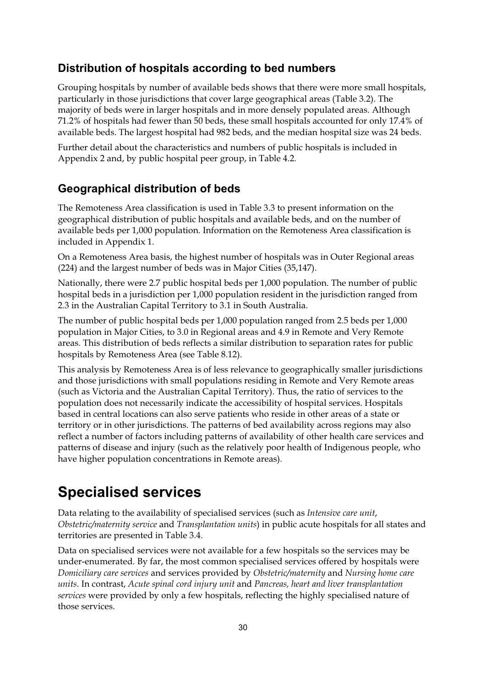#### **Distribution of hospitals according to bed numbers**

Grouping hospitals by number of available beds shows that there were more small hospitals, particularly in those jurisdictions that cover large geographical areas (Table 3.2). The majority of beds were in larger hospitals and in more densely populated areas. Although 71.2% of hospitals had fewer than 50 beds, these small hospitals accounted for only 17.4% of available beds. The largest hospital had 982 beds, and the median hospital size was 24 beds.

Further detail about the characteristics and numbers of public hospitals is included in Appendix 2 and, by public hospital peer group, in Table 4.2.

#### **Geographical distribution of beds**

The Remoteness Area classification is used in Table 3.3 to present information on the geographical distribution of public hospitals and available beds, and on the number of available beds per 1,000 population. Information on the Remoteness Area classification is included in Appendix 1.

On a Remoteness Area basis, the highest number of hospitals was in Outer Regional areas (224) and the largest number of beds was in Major Cities (35,147).

Nationally, there were 2.7 public hospital beds per 1,000 population. The number of public hospital beds in a jurisdiction per 1,000 population resident in the jurisdiction ranged from 2.3 in the Australian Capital Territory to 3.1 in South Australia.

The number of public hospital beds per 1,000 population ranged from 2.5 beds per 1,000 population in Major Cities, to 3.0 in Regional areas and 4.9 in Remote and Very Remote areas. This distribution of beds reflects a similar distribution to separation rates for public hospitals by Remoteness Area (see Table 8.12).

This analysis by Remoteness Area is of less relevance to geographically smaller jurisdictions and those jurisdictions with small populations residing in Remote and Very Remote areas (such as Victoria and the Australian Capital Territory). Thus, the ratio of services to the population does not necessarily indicate the accessibility of hospital services. Hospitals based in central locations can also serve patients who reside in other areas of a state or territory or in other jurisdictions. The patterns of bed availability across regions may also reflect a number of factors including patterns of availability of other health care services and patterns of disease and injury (such as the relatively poor health of Indigenous people, who have higher population concentrations in Remote areas).

### **Specialised services**

Data relating to the availability of specialised services (such as *Intensive care unit*, *Obstetric/maternity service* and *Transplantation units*) in public acute hospitals for all states and territories are presented in Table 3.4.

Data on specialised services were not available for a few hospitals so the services may be under-enumerated. By far, the most common specialised services offered by hospitals were *Domiciliary care services* and services provided by *Obstetric/maternity* and *Nursing home care units*. In contrast, *Acute spinal cord injury unit* and *Pancreas, heart and liver transplantation services* were provided by only a few hospitals, reflecting the highly specialised nature of those services.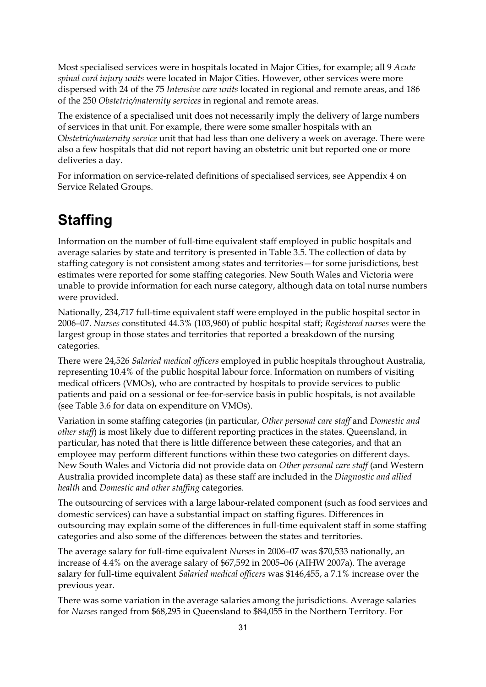Most specialised services were in hospitals located in Major Cities, for example; all 9 *Acute spinal cord injury units* were located in Major Cities. However, other services were more dispersed with 24 of the 75 *Intensive care units* located in regional and remote areas, and 186 of the 250 *Obstetric/maternity services* in regional and remote areas.

The existence of a specialised unit does not necessarily imply the delivery of large numbers of services in that unit. For example, there were some smaller hospitals with an O*bstetric/maternity service* unit that had less than one delivery a week on average. There were also a few hospitals that did not report having an obstetric unit but reported one or more deliveries a day.

For information on service-related definitions of specialised services, see Appendix 4 on Service Related Groups.

# **Staffing**

Information on the number of full-time equivalent staff employed in public hospitals and average salaries by state and territory is presented in Table 3.5. The collection of data by staffing category is not consistent among states and territories—for some jurisdictions, best estimates were reported for some staffing categories. New South Wales and Victoria were unable to provide information for each nurse category, although data on total nurse numbers were provided.

Nationally, 234,717 full-time equivalent staff were employed in the public hospital sector in 2006–07. *Nurses* constituted 44.3% (103,960) of public hospital staff; *Registered nurses* were the largest group in those states and territories that reported a breakdown of the nursing categories.

There were 24,526 *Salaried medical officers* employed in public hospitals throughout Australia, representing 10.4% of the public hospital labour force. Information on numbers of visiting medical officers (VMOs), who are contracted by hospitals to provide services to public patients and paid on a sessional or fee-for-service basis in public hospitals, is not available (see Table 3.6 for data on expenditure on VMOs).

Variation in some staffing categories (in particular, *Other personal care staff* and *Domestic and other staff*) is most likely due to different reporting practices in the states. Queensland, in particular, has noted that there is little difference between these categories, and that an employee may perform different functions within these two categories on different days. New South Wales and Victoria did not provide data on *Other personal care staff* (and Western Australia provided incomplete data) as these staff are included in the *Diagnostic and allied health* and *Domestic and other staffing* categories.

The outsourcing of services with a large labour-related component (such as food services and domestic services) can have a substantial impact on staffing figures. Differences in outsourcing may explain some of the differences in full-time equivalent staff in some staffing categories and also some of the differences between the states and territories.

The average salary for full-time equivalent *Nurses* in 2006–07 was \$70,533 nationally, an increase of 4.4% on the average salary of \$67,592 in 2005–06 (AIHW 2007a). The average salary for full-time equivalent *Salaried medical officers* was \$146,455, a 7.1% increase over the previous year.

There was some variation in the average salaries among the jurisdictions. Average salaries for *Nurses* ranged from \$68,295 in Queensland to \$84,055 in the Northern Territory. For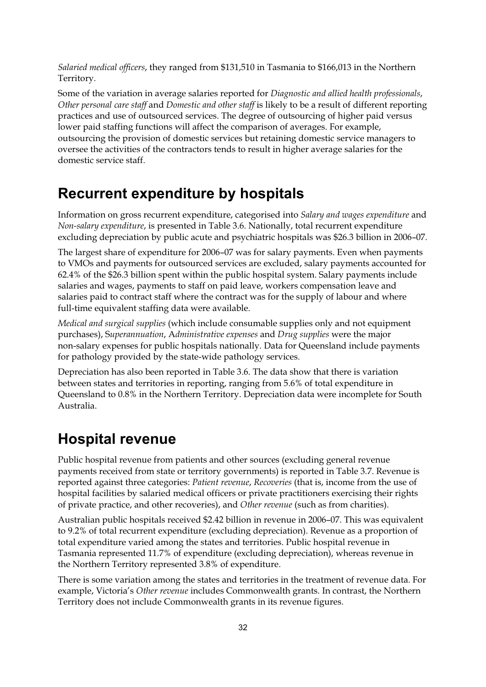*Salaried medical officers*, they ranged from \$131,510 in Tasmania to \$166,013 in the Northern Territory.

Some of the variation in average salaries reported for *Diagnostic and allied health professionals*, *Other personal care staff* and *Domestic and other staff* is likely to be a result of different reporting practices and use of outsourced services. The degree of outsourcing of higher paid versus lower paid staffing functions will affect the comparison of averages. For example, outsourcing the provision of domestic services but retaining domestic service managers to oversee the activities of the contractors tends to result in higher average salaries for the domestic service staff.

### **Recurrent expenditure by hospitals**

Information on gross recurrent expenditure, categorised into *Salary and wages expenditure* and *Non-salary expenditure*, is presented in Table 3.6. Nationally, total recurrent expenditure excluding depreciation by public acute and psychiatric hospitals was \$26.3 billion in 2006–07.

The largest share of expenditure for 2006–07 was for salary payments. Even when payments to VMOs and payments for outsourced services are excluded, salary payments accounted for 62.4% of the \$26.3 billion spent within the public hospital system. Salary payments include salaries and wages, payments to staff on paid leave, workers compensation leave and salaries paid to contract staff where the contract was for the supply of labour and where full-time equivalent staffing data were available.

*Medical and surgical supplies* (which include consumable supplies only and not equipment purchases), S*uperannuation*, A*dministrative expenses* and *Drug supplies* were the major non-salary expenses for public hospitals nationally. Data for Queensland include payments for pathology provided by the state-wide pathology services.

Depreciation has also been reported in Table 3.6. The data show that there is variation between states and territories in reporting, ranging from 5.6% of total expenditure in Queensland to 0.8% in the Northern Territory. Depreciation data were incomplete for South Australia.

### **Hospital revenue**

Public hospital revenue from patients and other sources (excluding general revenue payments received from state or territory governments) is reported in Table 3.7. Revenue is reported against three categories: *Patient revenue*, *Recoveries* (that is, income from the use of hospital facilities by salaried medical officers or private practitioners exercising their rights of private practice, and other recoveries), and *Other revenue* (such as from charities).

Australian public hospitals received \$2.42 billion in revenue in 2006–07. This was equivalent to 9.2% of total recurrent expenditure (excluding depreciation). Revenue as a proportion of total expenditure varied among the states and territories. Public hospital revenue in Tasmania represented 11.7% of expenditure (excluding depreciation), whereas revenue in the Northern Territory represented 3.8% of expenditure.

There is some variation among the states and territories in the treatment of revenue data. For example, Victoria's *Other revenue* includes Commonwealth grants. In contrast, the Northern Territory does not include Commonwealth grants in its revenue figures.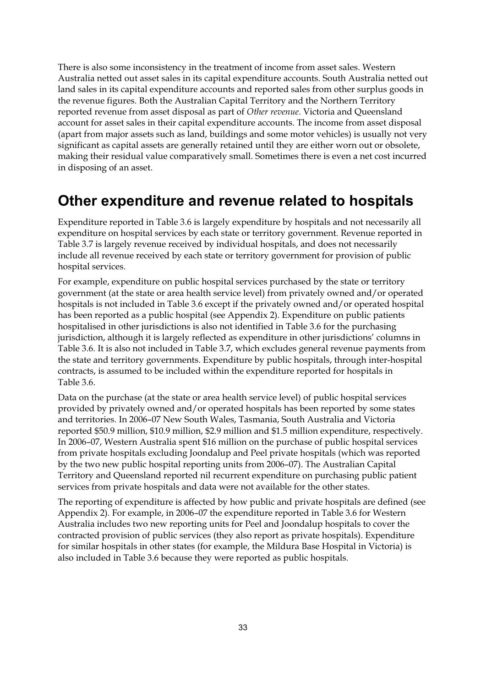There is also some inconsistency in the treatment of income from asset sales. Western Australia netted out asset sales in its capital expenditure accounts. South Australia netted out land sales in its capital expenditure accounts and reported sales from other surplus goods in the revenue figures. Both the Australian Capital Territory and the Northern Territory reported revenue from asset disposal as part of *Other revenue*. Victoria and Queensland account for asset sales in their capital expenditure accounts. The income from asset disposal (apart from major assets such as land, buildings and some motor vehicles) is usually not very significant as capital assets are generally retained until they are either worn out or obsolete, making their residual value comparatively small. Sometimes there is even a net cost incurred in disposing of an asset.

## **Other expenditure and revenue related to hospitals**

Expenditure reported in Table 3.6 is largely expenditure by hospitals and not necessarily all expenditure on hospital services by each state or territory government. Revenue reported in Table 3.7 is largely revenue received by individual hospitals, and does not necessarily include all revenue received by each state or territory government for provision of public hospital services.

For example, expenditure on public hospital services purchased by the state or territory government (at the state or area health service level) from privately owned and/or operated hospitals is not included in Table 3.6 except if the privately owned and/or operated hospital has been reported as a public hospital (see Appendix 2). Expenditure on public patients hospitalised in other jurisdictions is also not identified in Table 3.6 for the purchasing jurisdiction, although it is largely reflected as expenditure in other jurisdictions' columns in Table 3.6. It is also not included in Table 3.7, which excludes general revenue payments from the state and territory governments. Expenditure by public hospitals, through inter-hospital contracts, is assumed to be included within the expenditure reported for hospitals in Table 3.6.

Data on the purchase (at the state or area health service level) of public hospital services provided by privately owned and/or operated hospitals has been reported by some states and territories. In 2006–07 New South Wales, Tasmania, South Australia and Victoria reported \$50.9 million, \$10.9 million, \$2.9 million and \$1.5 million expenditure, respectively. In 2006–07, Western Australia spent \$16 million on the purchase of public hospital services from private hospitals excluding Joondalup and Peel private hospitals (which was reported by the two new public hospital reporting units from 2006–07). The Australian Capital Territory and Queensland reported nil recurrent expenditure on purchasing public patient services from private hospitals and data were not available for the other states.

The reporting of expenditure is affected by how public and private hospitals are defined (see Appendix 2). For example, in 2006–07 the expenditure reported in Table 3.6 for Western Australia includes two new reporting units for Peel and Joondalup hospitals to cover the contracted provision of public services (they also report as private hospitals). Expenditure for similar hospitals in other states (for example, the Mildura Base Hospital in Victoria) is also included in Table 3.6 because they were reported as public hospitals.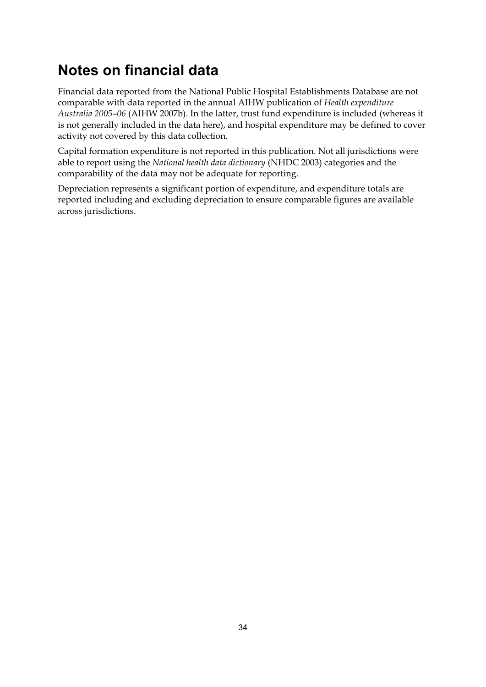# **Notes on financial data**

Financial data reported from the National Public Hospital Establishments Database are not comparable with data reported in the annual AIHW publication of *Health expenditure Australia 2005–06* (AIHW 2007b). In the latter, trust fund expenditure is included (whereas it is not generally included in the data here), and hospital expenditure may be defined to cover activity not covered by this data collection.

Capital formation expenditure is not reported in this publication. Not all jurisdictions were able to report using the *National health data dictionary* (NHDC 2003) categories and the comparability of the data may not be adequate for reporting.

Depreciation represents a significant portion of expenditure, and expenditure totals are reported including and excluding depreciation to ensure comparable figures are available across jurisdictions.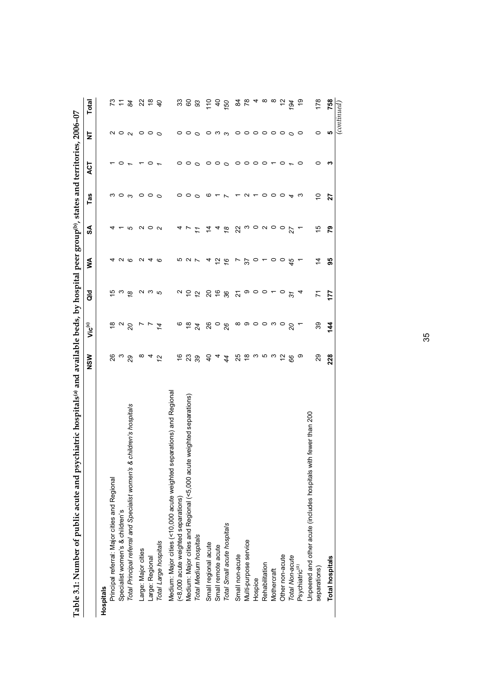| Table 3.1: Number of public acute and psychiatric hospitals® and available beds, by hospital peer group®, states and territories, 2006-07 |                           |                                 |                            |               |               |         |                 |         |               |
|-------------------------------------------------------------------------------------------------------------------------------------------|---------------------------|---------------------------------|----------------------------|---------------|---------------|---------|-----------------|---------|---------------|
|                                                                                                                                           | NSW                       | Vic <sup>(c)</sup>              | a<br>G                     | Š             | S             | Tas     | 13              | ā       | Total         |
| <b>Hospitals</b>                                                                                                                          |                           |                                 |                            |               |               |         |                 |         |               |
| Principal referral: Major cities and Regional                                                                                             | 26                        | $\frac{8}{1}$                   | بت                         |               | 4             |         |                 | N       | 73            |
| Specialist women's & children's                                                                                                           | ო                         | $\sim$                          | က                          |               |               | 0       | 0               | $\circ$ | $\tilde{t}$   |
| Total Principal referral and Specialist women's & children's hospitals                                                                    | 29                        | $\overline{c}$                  | $\tilde{8}$                | N O           | 5             | ო       |                 | $\sim$  | 84            |
| Large: Major cities                                                                                                                       | ∞                         | r                               |                            | ∾             | N             | 0       |                 | 0       |               |
| Large: Regional                                                                                                                           | 4                         | $\overline{r}$                  | ດ ພ ຕ                      | 4             | $\circ$       | 0       |                 | 0       | 22 e          |
| Total Large hospitals                                                                                                                     | 12                        | 4                               |                            | G             | $\sim$        | $\circ$ |                 | $\circ$ | $\mathcal{O}$ |
| eparations) and Regional<br>Medium: Major cities (<10,000 acute weighted s                                                                |                           |                                 |                            |               |               |         |                 |         |               |
| (<8,000 acute weighted separations)                                                                                                       | $\overset{\circ}{\cdot}$  | ဖ                               |                            | ယ             |               | 0       | 0               | 0       | 33            |
| e weighted separations)<br>Medium: Major cities and Regional (<5,000 acut                                                                 | 23                        | ₽                               | $\sim$ $\approx$ $\approx$ | $\sim$ $\sim$ |               | 0       |                 | 0       | 60            |
| Total Medium hospitals                                                                                                                    | 39                        | 24                              |                            |               |               | $\circ$ | $\circ$ $\circ$ | $\circ$ | 93            |
| Small regional acute                                                                                                                      | $\overline{a}$            | 26                              | $\Omega$                   |               | 4             | ဖ       | 0               | 0       | 110           |
| Small remote acute                                                                                                                        | 4                         |                                 |                            | 5             | 4             |         | $\circ$ $\circ$ | ო ო     |               |
| Total Small acute hospitals                                                                                                               | 4                         | $\frac{0}{26}$                  | $\frac{6}{36}$             | $\frac{6}{5}$ | $\frac{8}{2}$ |         |                 |         | 150           |
| Small non-acute                                                                                                                           | 25                        | ∞                               | 21                         |               | 22            |         | 0               | 0       | 84            |
| Multi-purpose service                                                                                                                     | $\overset{\infty}{\cdot}$ | $\circ \circ \circ \circ \circ$ |                            | 57            |               | $\sim$  | $\circ$ $\circ$ | 0       | $64 \times 6$ |
| Hospice                                                                                                                                   |                           |                                 | $\circ \circ \circ$        | O             |               |         |                 | $\circ$ |               |
| Rehabilitation                                                                                                                            | ო ო                       |                                 |                            |               | n o n o       | 0       | $\circ$         | $\circ$ |               |
| Mothercraft                                                                                                                               | ო                         |                                 |                            | $\circ$       |               | $\circ$ |                 | $\circ$ |               |
| Other non-acute                                                                                                                           | $\frac{1}{2}$             |                                 | $\circ$                    | $\circ$       | $\circ$       | 0       | ○               | $\circ$ |               |
| Total Non-acute                                                                                                                           | 89                        | $\overline{c}$                  | $\overline{37}$            | 45            | 27            | 4       |                 | $\circ$ | 194           |
| Psychiatric <sup>(d)</sup>                                                                                                                | တ                         | Π                               | 4                          |               |               | ო       | 0               | o       | e,            |
| Unpeered and other acute (includes hospitals with fewer than 200                                                                          |                           |                                 |                            |               |               |         |                 |         |               |
| separations)                                                                                                                              | 29                        | 89                              | Σ                          | $\tilde{4}$   | 15            | S       | 0               | 0       | 178           |
| <b>Total hospitals</b>                                                                                                                    | 228                       | $\frac{4}{4}$                   | 177                        | 99            | 54            | 27      | ∾               | ۱Ω      | 758           |
|                                                                                                                                           |                           |                                 |                            |               |               |         |                 |         | (continued,   |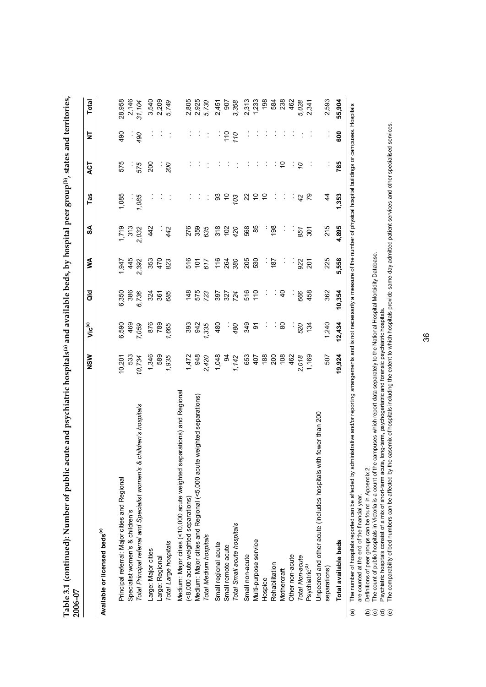|                                                                           | NSW            | $\mathbf{Vi}$ c $^{(c)}$ | <b>aio</b>    | ⋚             | S     | Tas             | <b>LO</b>   | ā                    | Total          |
|---------------------------------------------------------------------------|----------------|--------------------------|---------------|---------------|-------|-----------------|-------------|----------------------|----------------|
| Available or licensed beds <sup>(e)</sup>                                 |                |                          |               |               |       |                 |             |                      |                |
| Principal referral: Major cities and Regional                             | 10,201         | 6,590                    | 6,350         | 1,947         | 1,719 | 1,085           | 575         | 490                  | 28,958         |
| Specialist women's & children's                                           | 533            | 469                      | 386           | 445           | 313   |                 |             |                      | 2,146          |
| children's hospitals<br>Total Principal referral and Specialist women's & | 10,734         | 7,059                    | 6,736         | 2,392         | 2,032 | 1,085           | 575         | 490<br>$\cdot$       | 31,104         |
| Large: Major cities                                                       | 1,346          | 876                      | 324           | 353           | 442   |                 | 200         |                      |                |
| Large: Regional                                                           | 589            | 789                      | 361           | 470           |       |                 | Į.          |                      | 3,540<br>2,209 |
| Total Large hospitals                                                     | 1,935          | 1,665                    | 685           | 823           | 442   |                 | 200         |                      | 5,749          |
| Medium: Major cities (<10,000 acute weighted separations) and Regional    |                |                          |               |               |       |                 |             |                      |                |
| (<8,000 acute weighted separations)                                       | 1,472          | 393                      | 148           | 516           | 276   |                 |             |                      | 2,805          |
| weighted separations)<br>Medium: Major cities and Regional (<5,000 acute  | 948            | 942                      | 575           | $\frac{2}{3}$ | 359   |                 |             |                      | 2,925<br>5,730 |
| Total Medium hospitals                                                    | 2,420          | 1,335                    | 723           | 617           | 635   |                 |             |                      |                |
| Small regional acute                                                      | 1,048          | 480                      | 397           | 116           | 318   | ္တ              |             | $\ddot{\phantom{0}}$ | 2,451          |
| Small remote acute                                                        | $\mathfrak{g}$ | ł,                       | 327           | 264           | 102   | $\frac{1}{2}$   |             | 110                  | 907            |
| Total Small acute hospitals                                               | 1,142          | 480                      | 724           | 380           | 420   | $\overline{0}3$ |             | 110                  | 3,358          |
| Small non-acute                                                           | 653            | 349                      | 516           | 205           | 568   | 22              |             |                      | 2,313          |
| Multi-purpose service                                                     | 407            | δ                        | $\frac{0}{1}$ | 530           | 85    | $\frac{1}{2}$   |             |                      | 1,233          |
| Hospice                                                                   | 188            |                          | Į             | Į.            |       | $\tilde{c}$     |             |                      | 198            |
| Rehabilitation                                                            | 200            | Į,                       | Į,            | 187           | 198   |                 |             |                      | 584            |
| Mothercraft                                                               | 108            | 8                        | $\frac{1}{2}$ | ĵ             |       | İ               | S           |                      | 238            |
| Other non-acute                                                           | 462            |                          |               |               |       |                 |             |                      | 462            |
| Total Non-acute                                                           | 2,018          | 520                      | 666           | 922           | 851   | 42              | $\tilde{c}$ |                      | 5,028          |
| Psychiatric <sup>(d)</sup>                                                | 1,169          | 134                      | 458           | 201           | 301   | 79              |             |                      | 2,341          |
| th fewer than 200<br>Unpeered and other acute (includes hospitals wit     |                |                          |               |               |       |                 |             |                      |                |
| separations)                                                              | 507            | 1,240                    | 362           | 225           | 215   | $\frac{4}{4}$   |             |                      | 2,593          |
| Total available beds                                                      | 19,924         | 12,434                   | 10,354        | 5,558         | 4,895 | 1,353           | 785         | 600                  | 55,904         |

are counted at the end of the financial year. are counted at the end of the financial year.

Definitions of peer groups can be found in Appendix 2.

(c) The count of public hospitals in Victoria is a count of the campuses which report data separately to the National Hospital Morbidity Database.

(b) (d) Psychiatric hospitals consist of a mix of short-term acute, long-term, psychogeriatric and forensic psychiatric hospitals.

Definitions of peer groups can be found in Appendix 2.<br>The count of public hospitals in Victoria is a count of the campuses which report data separately to the National Hospital Morbidity Database.<br>Psychiatric hospitals co (e) The comparability of bed numbers can be affected by the casemix of hospitals including the extent to which hospitals provide same-day admitted patient services and other specialised services.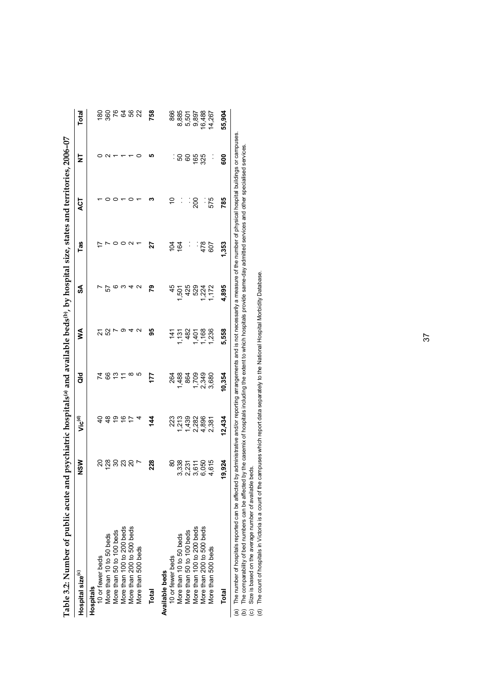| Table 3.2: INumber or public acure and I                 |                                                 |                                                          | and available l                                    | bedsw                       | . by hospital size.       | states and    |              | 2006-07          |                                        |
|----------------------------------------------------------|-------------------------------------------------|----------------------------------------------------------|----------------------------------------------------|-----------------------------|---------------------------|---------------|--------------|------------------|----------------------------------------|
| Hospital size <sup>(c)</sup>                             | §<br>z                                          | Vic <sup>(d)</sup>                                       | aio                                                | ⋚                           | SA                        | Tas           | <b>LCT</b>   | ₹                | Total                                  |
| <b>Hospitals</b>                                         |                                                 |                                                          |                                                    |                             |                           |               |              |                  |                                        |
| 10 or fewer beds                                         |                                                 |                                                          |                                                    |                             |                           |               |              |                  |                                        |
| More than 10 to 50 beds                                  |                                                 |                                                          |                                                    | ភ ន '                       | 57                        |               |              |                  |                                        |
| More than 50 to 100 beds                                 | <u>នន</u> ្ទន្ទន្ទន                             | さききき                                                     | <b>2825</b>                                        |                             |                           |               |              |                  |                                        |
| More than 100 to 200 beds                                |                                                 |                                                          |                                                    |                             | ∾                         |               |              |                  |                                        |
| More than 200 to 500 beds                                |                                                 |                                                          | $\infty$                                           |                             |                           |               |              |                  | ន្តន្ត្តមន្ត្រ                         |
| More than 500 beds                                       |                                                 |                                                          | ιΩ                                                 |                             | N                         |               |              |                  |                                        |
| Total                                                    | 228                                             | 14                                                       | 177                                                | 95                          | 54                        | 27            |              |                  | 758                                    |
| Available beds                                           |                                                 |                                                          |                                                    |                             |                           |               |              |                  |                                        |
| 10 or fewer beds                                         |                                                 |                                                          |                                                    |                             |                           |               | Ś            |                  |                                        |
| More than 10 to 50 beds                                  | នន្លំ វី ភូមិ ឆ្នាំ<br>ខ្លួន វី ភូមិ ឆ្នាំ<br>ო |                                                          | 264<br>488                                         | 1,131                       |                           | 1<br>2 2<br>1 |              | : ន ខ ខ្ញុំ ង្កូ | 866<br>885 508<br>80 50 80<br>80 60 80 |
| More than 50 to 100 beds                                 | $\mathbf{N}$                                    |                                                          |                                                    |                             |                           |               |              |                  |                                        |
|                                                          | ო                                               |                                                          |                                                    |                             |                           | Į.            | းဒ္လ         |                  |                                        |
| More than 100 to 200 beds<br>More than 200 to 500 beds   | စ                                               |                                                          | $864$<br>$709$<br>$799$<br>$790$<br>$790$<br>$790$ | $482$<br>$1,401$<br>$1,168$ |                           | 478<br>607    |              |                  |                                        |
| More than 500 beds                                       |                                                 | 22 23 23 25<br>22 24 26 26 26<br>22 26 26 27<br>22 26 27 |                                                    | 1,236                       | 15<br>45000475<br>4500472 |               | - 575<br>575 | Ĩ,               | 14,267                                 |
| Total                                                    | $\tilde{5}$<br>9.                               | 12,434                                                   | 10,354                                             | 5,558                       | 4,895                     | ,353          | 785          | 800              | 55,904                                 |
| ,我们的人们就是一个人的人,我们的人们的人们,我们的人们的人们的人们,我们的人们的人们的人们。<br>こうしょう |                                                 |                                                          |                                                    |                             |                           |               |              |                  |                                        |

Table 3.2: Number of public acute and psychiatric hospitals® and available beds®, by hospital size, states and territories, 2006–07 **Table 3.2: Number of public acute and psychiatric hospitals(a) and available beds(b), by hospital size, states and territories, 2006–07**  (a) The number of hospitals reported can be affected by administrative and/or reporting arrangements and is not necessarily a measure of the number of physical hospital buildings or campuses.<br>(b) The comparability of bed n (a) The number of hospitals reported can be affected by administrative and/or reporting arrangements and is not necessarily a measure of the number of physical hospital buildings or campuses. (b) The comparability of bed numbers can be affected by the casemix of hospitals including the extent to which hospitals provide same-day admitted services and other specialised services.

(c) Size is based on the average number of available beds.

(d) The count of hospitals in Victoria is a count of the campuses which report data separately to the National Hospital Morbidity Database.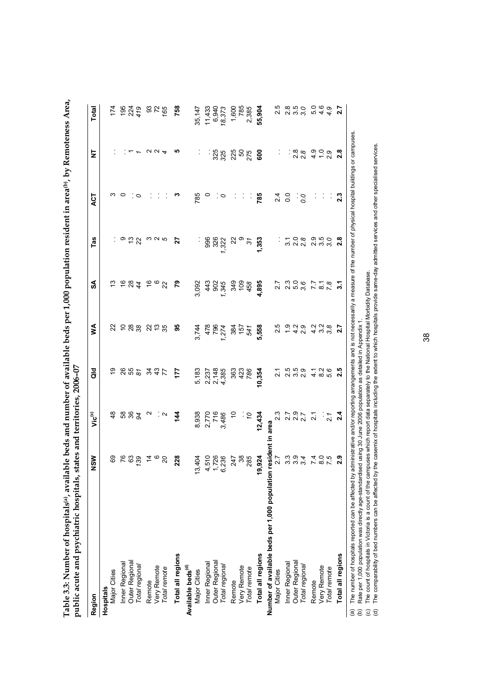| Region                                                                                                                                                                                                                                                                                                                                                              | NSW                         | ن<br>كا           | <b>Jo</b>                | ≸                             | వ్                          | Tas                             | <b>LS</b>         | 눌               | Total                   |
|---------------------------------------------------------------------------------------------------------------------------------------------------------------------------------------------------------------------------------------------------------------------------------------------------------------------------------------------------------------------|-----------------------------|-------------------|--------------------------|-------------------------------|-----------------------------|---------------------------------|-------------------|-----------------|-------------------------|
| Hospitals                                                                                                                                                                                                                                                                                                                                                           |                             |                   |                          |                               |                             |                                 |                   |                 |                         |
| Major Cities                                                                                                                                                                                                                                                                                                                                                        | 89                          | $\frac{8}{4}$     | စ္                       | 22                            | ဗု                          |                                 | က                 |                 | 174                     |
| Inner Regional                                                                                                                                                                                                                                                                                                                                                      | 83,8                        |                   |                          | 288                           |                             | $\frac{1}{2}$                   | $\circ$           |                 | $195$<br>$224$<br>$479$ |
| Outer Regional                                                                                                                                                                                                                                                                                                                                                      |                             | <b>882</b>        | 855                      |                               | 284                         |                                 |                   | $\mathbf{r}$    |                         |
| Total regional                                                                                                                                                                                                                                                                                                                                                      |                             |                   |                          |                               |                             |                                 | $\sim$            |                 |                         |
| Remote                                                                                                                                                                                                                                                                                                                                                              | $\tilde{a}$ $\alpha$        | $\mathbf{\Omega}$ | 34                       |                               |                             |                                 |                   | $\alpha \alpha$ |                         |
| Very Remote                                                                                                                                                                                                                                                                                                                                                         |                             |                   | $rac{43}{7}$             | 225                           | $\frac{6}{3}$ $\frac{6}{3}$ | m N 5                           |                   |                 | <b>3256</b>             |
| Total remote                                                                                                                                                                                                                                                                                                                                                        | $\Omega$                    | ି ଦା              |                          |                               |                             |                                 |                   |                 |                         |
| Total all regions                                                                                                                                                                                                                                                                                                                                                   | 228                         | 144               | 177                      | 56                            | ၉                           | 27                              | ო                 | ഥ               | 758                     |
| Available beds <sup>(d)</sup>                                                                                                                                                                                                                                                                                                                                       |                             |                   |                          |                               |                             |                                 |                   |                 |                         |
| Major Cities                                                                                                                                                                                                                                                                                                                                                        | 13,404                      | 8,938             | 5,183                    | 3,744                         | 3,092                       |                                 | 785               |                 | 35,147                  |
| Inner Regional                                                                                                                                                                                                                                                                                                                                                      | 4,510<br>1,726<br>6,236     |                   |                          | 478<br>796<br>1,274           | 443                         | 996                             | $\circ$           |                 | 11,433                  |
| Outer Regiona                                                                                                                                                                                                                                                                                                                                                       |                             | 2,770             | 2,237<br>2,148<br>4,385  |                               | 902                         | 326<br>1,322                    |                   | : 325<br>325    | 6,940                   |
| Total regional                                                                                                                                                                                                                                                                                                                                                      |                             | 3,486             |                          |                               | 1,345                       |                                 | $\sim$            |                 | 18,373                  |
| Remote                                                                                                                                                                                                                                                                                                                                                              | 247<br>38                   | $\frac{1}{2}$     | 363                      | 384                           | 349                         | ଧ                               |                   | 225             | 1,600                   |
| Very Remote                                                                                                                                                                                                                                                                                                                                                         |                             |                   | 423                      | 157                           | 109                         | Φ                               | ÷,                | 50<br>275       | 785                     |
| Total remote                                                                                                                                                                                                                                                                                                                                                        | 285                         | or                | 786                      | 541                           | 458                         | $\tilde{\varepsilon}$           | Ĵ,                |                 | 2,385                   |
| Total all regions                                                                                                                                                                                                                                                                                                                                                   | 19,924                      | 12,434            | 10,354                   | 5,558                         | 4,895                       | 1,353                           | 785               | 600             | 55,904                  |
| Number of available beds per 1,000 population resident in area                                                                                                                                                                                                                                                                                                      |                             |                   |                          |                               |                             |                                 |                   |                 |                         |
| Major Cities                                                                                                                                                                                                                                                                                                                                                        | 2.7                         | 2.3               | $\tilde{2}$              | 2.5                           | 2.7                         |                                 | 24                |                 | 2.5                     |
| Inner Regional                                                                                                                                                                                                                                                                                                                                                      |                             | $7.97$<br>$2.7$   | 5<br>2 5 9<br>2 9<br>2 9 |                               | 2.0<br>2.0<br>2.0           |                                 | $\overline{0}$ .  |                 | 2.50<br>2.50            |
| Outer Regional                                                                                                                                                                                                                                                                                                                                                      |                             |                   |                          | $\frac{1}{2}$ a $\frac{1}{2}$ |                             | 3 0 0<br>3 0 0<br>3 0 0         | $\mathbb{R}^n$    | $\frac{8}{28}$  |                         |
| Total regional                                                                                                                                                                                                                                                                                                                                                      | ಣ ೧೧ <del>೪</del><br>೧೧ ೧ ೪ |                   |                          |                               |                             |                                 | $\overline{0}$ .0 |                 |                         |
| Remote                                                                                                                                                                                                                                                                                                                                                              | $780$<br>$79$<br>$79$       | $\overline{2}$ .  |                          |                               | $7.7$<br>$7.7$<br>$7.8$     |                                 | Į.                | $\frac{9}{4}$   |                         |
| Very Remote                                                                                                                                                                                                                                                                                                                                                         |                             |                   | $4800$<br>$480$          | $4000$<br>$400$               |                             | 0<br>0<br>0<br>0<br>0<br>0<br>0 | ĵ,                | $\frac{0}{2}$   | 0.00<br>0.40            |
| Total remote                                                                                                                                                                                                                                                                                                                                                        |                             | $\frac{1}{2}$     |                          |                               |                             |                                 |                   |                 |                         |
| Total all regions                                                                                                                                                                                                                                                                                                                                                   | 2.9                         | 2.4               | 2.5                      | $\overline{2.7}$              | $\overline{3}$ .7           | 2.8                             | 2.3               | 2.8             | 2.7                     |
| The number of hospitals reported can be affected by administrative and/or reporting arrangements and is not necessarily a measure of the number of physical hospital buildings or campuses.<br>Rate per 1,000 population was directly age-standardised using 30 June 2006 population as detailed in Appendix<br>$\widehat{e}$<br>$\widehat{\mathbf{e}}$             |                             |                   |                          |                               |                             |                                 |                   |                 |                         |
| The comparability of bed numbers can be affected by the casemix of hospitals including the extent to which hospitals provide same-day admitted services and other specialised services.<br>The count of hospitals in Victoria is a count of the campuses which report data separately to the National Hospital Morbidity Database.<br>$\widehat{\sigma}$<br>$\odot$ |                             |                   |                          |                               |                             |                                 |                   |                 |                         |
|                                                                                                                                                                                                                                                                                                                                                                     |                             |                   |                          |                               |                             |                                 |                   |                 |                         |

**Table 3.3: Number of hospitals(a), available beds and number of available beds per 1,000 population resident in area(b), by Remoteness Area,**  Table 3.3: Number of hospitals@, available beds and number of available beds per 1,000 population resident in area<sup>(b)</sup>, by Remoteness Area,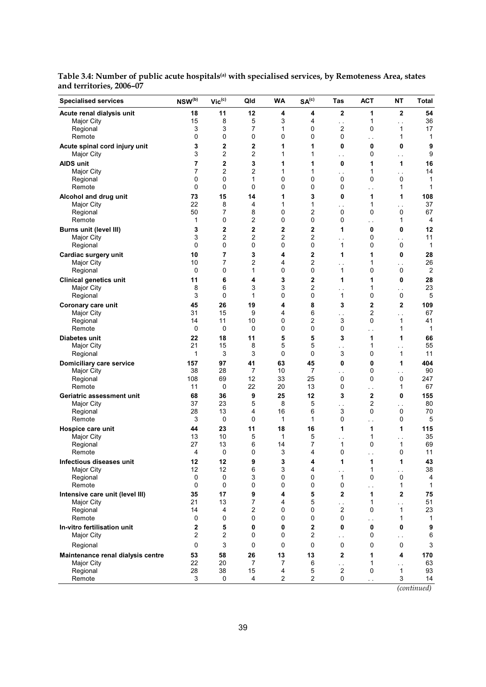| <b>Specialised services</b>                 | $\ensuremath{\mathsf{NSW}}\xspace^\text{(b)}$ | $Vic^{(c)}$            | Qld            | <b>WA</b>      | SA <sup>(c)</sup> | Tas                       | <b>ACT</b>              | NΤ                   | Total             |
|---------------------------------------------|-----------------------------------------------|------------------------|----------------|----------------|-------------------|---------------------------|-------------------------|----------------------|-------------------|
| Acute renal dialysis unit                   | 18                                            | 11                     | 12             | 4              | 4                 | $\mathbf{2}$              | 1                       | $\mathbf{2}$         | 54                |
| Major City                                  | 15                                            | 8                      | 5              | 3              | 4                 | $\ddot{\phantom{0}}$      | 1                       | $\ddotsc$            | 36                |
| Regional                                    | 3                                             | 3                      | $\overline{7}$ | 1              | 0                 | 2                         | 0                       | 1                    | 17                |
| Remote                                      | 0                                             | 0                      | 0              | 0              | 0                 | 0                         | $\ddot{\phantom{1}}$    | 1                    | 1                 |
| Acute spinal cord injury unit               | 3                                             | $\mathbf 2$            | $\mathbf{2}$   | 1              | 1                 | 0                         | 0                       | 0                    | 9                 |
| Major City                                  | 3                                             | $\overline{2}$         | $\overline{2}$ | 1              | 1                 | $\ddot{\phantom{0}}$      | 0                       | $\ddot{\phantom{0}}$ | 9                 |
| AIDS unit                                   | 7                                             | $\overline{2}$         | 3              | 1              | 1                 | 0                         | 1                       | 1                    | 16                |
| Major City                                  | 7                                             | $\overline{2}$         | 2              | 1              | 1                 | . .                       | 1                       | $\ddotsc$            | 14                |
| Regional                                    | 0                                             | 0                      | 1              | 0              | 0                 | 0                         | 0                       | 0                    | 1                 |
| Remote                                      | 0                                             | 0                      | 0              | 0              | 0                 | 0                         | $\sim$                  | 1                    | 1                 |
| Alcohol and drug unit                       | 73                                            | 15                     | 14             | 1              | 3                 | 0                         | 1                       | 1                    | 108               |
| Major City                                  | 22<br>50                                      | 8<br>7                 | 4<br>8         | 1<br>0         | 1<br>2            | $\ddot{\phantom{0}}$<br>0 | 1<br>0                  | . .<br>0             | 37<br>67          |
| Regional<br>Remote                          | 1                                             | 0                      | $\overline{c}$ | 0              | 0                 | 0                         |                         | 1                    | 4                 |
|                                             | 3                                             | $\mathbf 2$            | $\overline{2}$ | $\overline{2}$ | $\mathbf 2$       | 1                         | . .<br>0                | 0                    | 12                |
| Burns unit (level III)<br>Major City        | 3                                             | $\overline{2}$         | $\overline{2}$ | 2              | 2                 |                           | 0                       |                      | 11                |
| Regional                                    | 0                                             | 0                      | 0              | 0              | 0                 | $\ddot{\phantom{0}}$<br>1 | 0                       | $\sim$<br>0          | 1                 |
|                                             | 10                                            | 7                      | 3              | 4              | 2                 | 1                         | 1                       | $\bf{0}$             | 28                |
| Cardiac surgery unit<br>Major City          | 10                                            | $\overline{7}$         | $\overline{c}$ | 4              | 2                 |                           | 1                       |                      | 26                |
| Regional                                    | 0                                             | 0                      | 1              | 0              | 0                 | $\ddot{\phantom{0}}$<br>1 | 0                       | $\sim$<br>0          | $\overline{2}$    |
|                                             | 11                                            | 6                      | 4              | 3              | 2                 | 1                         | 1                       | 0                    | 28                |
| <b>Clinical genetics unit</b><br>Major City | 8                                             | 6                      | 3              | 3              | 2                 |                           | 1                       |                      | 23                |
| Regional                                    | 3                                             | $\pmb{0}$              | 1              | 0              | 0                 | $\ddot{\phantom{0}}$<br>1 | 0                       | . .<br>$\pmb{0}$     | 5                 |
| Coronary care unit                          | 45                                            | 26                     | 19             | 4              | 8                 | 3                         | $\overline{\mathbf{2}}$ | 2                    | 109               |
| Major City                                  | 31                                            | 15                     | 9              | 4              | 6                 | $\ddot{\phantom{0}}$      | $\overline{c}$          | $\ddotsc$            | 67                |
| Regional                                    | 14                                            | 11                     | 10             | 0              | 2                 | 3                         | 0                       | 1                    | 41                |
| Remote                                      | $\mathbf 0$                                   | 0                      | 0              | 0              | 0                 | 0                         | $\ddotsc$               | 1                    | 1                 |
| Diabetes unit                               | 22                                            | 18                     | 11             | 5              | 5                 | 3                         | 1                       | 1                    | 66                |
| Major City                                  | 21                                            | 15                     | 8              | 5              | 5                 | . .                       | 1                       | $\ddotsc$            | 55                |
| Regional                                    | 1                                             | 3                      | 3              | 0              | 0                 | 3                         | 0                       | 1                    | 11                |
| Domiciliary care service                    | 157                                           | 97                     | 41             | 63             | 45                | 0                         | 0                       | 1                    | 404               |
| Major City                                  | 38                                            | 28                     | 7              | 10             | 7                 | . .                       | 0                       | . .                  | 90                |
| Regional                                    | 108                                           | 69                     | 12             | 33             | 25                | 0                         | 0                       | 0                    | 247               |
| Remote                                      | 11                                            | 0                      | 22             | 20             | 13                | 0                         | i,                      | 1                    | 67                |
| Geriatric assessment unit                   | 68                                            | 36                     | 9              | 25             | 12                | 3                         | $\mathbf 2$             | 0                    | 155               |
| Major City                                  | 37                                            | 23                     | 5              | 8              | 5                 | . .                       | 2                       | $\ddotsc$            | 80                |
| Regional                                    | 28                                            | 13                     | 4              | 16             | 6                 | 3                         | 0                       | 0                    | 70                |
| Remote                                      | 3                                             | $\mathbf 0$            | 0              | 1              | 1                 | 0                         | $\sim$                  | 0                    | 5                 |
| Hospice care unit                           | 44                                            | 23                     | 11             | 18             | 16                | 1                         | 1                       | 1                    | 115               |
| Major City                                  | 13                                            | 10                     | 5              | 1              | 5                 | $\ddotsc$                 | 1                       | $\sim$               | 35                |
| Regional                                    | 27                                            | 13                     | 6              | 14             | 7                 | 1                         | 0                       | 1                    | 69                |
| Remote                                      | 4                                             | $\pmb{0}$              | 0              | 3              | 4                 | 0                         | $\sim$                  | 0                    | 11                |
| Infectious diseases unit                    | 12                                            | 12                     | 9              | 3              | 4                 | 1                         | 1                       | 1                    | 43                |
| Major City                                  | 12                                            | 12                     | 6              | 3              | 4                 | $\sim$                    | 1                       | $\sim$               | 38                |
| Regional                                    | 0<br>0                                        | $\pmb{0}$<br>$\pmb{0}$ | 3<br>0         | 0              | 0<br>0            | 1<br>0                    | 0                       | $\mathbf 0$          | 4<br>$\mathbf{1}$ |
| Remote                                      |                                               |                        |                | 0              |                   |                           | . .                     | 1                    |                   |
| Intensive care unit (level III)             | 35<br>21                                      | 17<br>13               | 9              | 4              | 5                 | 2                         | 1                       | $\mathbf{2}$         | 75<br>51          |
| Major City<br>Regional                      | 14                                            | 4                      | 7<br>2         | 4<br>0         | 5<br>0            | . .<br>$\overline{c}$     | 1<br>0                  | $\ddotsc$<br>1       | 23                |
| Remote                                      | 0                                             | 0                      | 0              | 0              | 0                 | 0                         |                         | 1                    | 1                 |
| In-vitro fertilisation unit                 | 2                                             | 5                      | 0              | 0              | 2                 | 0                         | . .<br>$\bf{0}$         | 0                    | 9                 |
| Major City                                  | 2                                             | 2                      | 0              | 0              | 2                 |                           | 0                       |                      | 6                 |
|                                             |                                               |                        |                |                |                   | $\ddotsc$                 |                         | $\sim$               |                   |
| Regional                                    | 0                                             | 3                      | 0              | 0              | 0                 | 0                         | 0                       | $\pmb{0}$            | 3                 |
| Maintenance renal dialysis centre           | 53                                            | 58                     | 26             | 13             | 13                | $\mathbf{2}$              | 1                       | 4                    | 170               |
| <b>Major City</b><br>Regional               | 22                                            | 20<br>38               | 7              | 7              | 6                 | $\ddotsc$                 | 1<br>0                  | $\ddotsc$            | 63                |
| Remote                                      | 28<br>3                                       | 0                      | 15<br>4        | 4<br>2         | 5<br>$\mathbf{2}$ | 2<br>0                    |                         | 1<br>3               | 93<br>14          |
|                                             |                                               |                        |                |                |                   |                           | $\ddot{\phantom{0}}$    |                      | Continued         |

**Table 3.4: Number of public acute hospitals(a) with specialised services, by Remoteness Area, states and territories, 2006–07** 

*(continued)*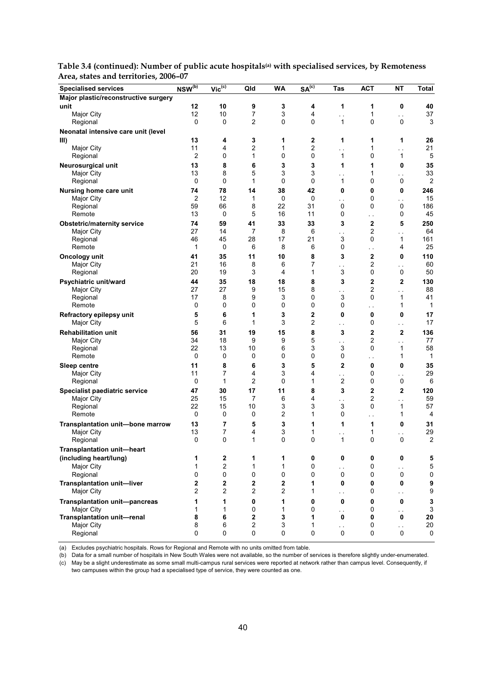| <b>Specialised services</b>          | $NSW^{(b)}$    | $Vic^{(c)}$    | Qld            | <b>WA</b>    | SA <sup>(c)</sup> | Tas                                    | <b>ACT</b>   | <b>NT</b>                           | <b>Total</b> |
|--------------------------------------|----------------|----------------|----------------|--------------|-------------------|----------------------------------------|--------------|-------------------------------------|--------------|
| Major plastic/reconstructive surgery |                |                |                |              |                   |                                        |              |                                     |              |
| unit                                 | 12             | 10             | 9              | 3            | 4                 | 1                                      | 1            | 0                                   | 40           |
| Major City                           | 12             | 10             | 7              | 3            | 4                 | $\ddot{\phantom{0}}$                   | 1            | $\ddotsc$                           | 37           |
| Regional                             | 0              | 0              | $\overline{2}$ | 0            | 0                 | 1                                      | 0            | 0                                   | 3            |
| Neonatal intensive care unit (level  |                |                |                |              |                   |                                        |              |                                     |              |
| III)                                 | 13             | 4              | 3              | 1            | 2                 | 1                                      | 1            | 1                                   | 26           |
| Major City                           | 11             | 4              | 2              | 1            | 2                 | . .                                    | 1            | . .                                 | 21           |
| Regional                             | $\mathbf{2}$   | 0              | $\mathbf{1}$   | 0            | 0                 | 1                                      | 0            | 1                                   | 5            |
| Neurosurgical unit                   | 13             | 8              | 6              | 3            | 3                 | 1                                      | 1            | 0                                   | 35           |
| Major City                           | 13             | 8              | 5              | 3            | 3                 | $\ddot{\phantom{a}}$                   | 1            | $\sim$ .                            | 33           |
| Regional                             | 0              | 0              | 1              | 0            | 0                 | 1                                      | 0            | 0                                   | 2            |
| Nursing home care unit               | 74             | 78             | 14             | 38           | 42                | 0                                      | 0            | 0                                   | 246          |
| Major City                           | 2              | 12             | 1              | $\mathbf 0$  | 0                 | . .                                    | 0            | . .                                 | 15           |
| Regional                             | 59             | 66             | 8              | 22           | 31                | 0                                      | 0            | 0                                   | 186          |
| Remote                               | 13             | 0              | 5              | 16           | 11                | 0                                      | ė,           | 0                                   | 45           |
| <b>Obstetric/maternity service</b>   | 74             | 59             | 41             | 33           | 33                | 3                                      | 2            | 5                                   | 250          |
| Major City                           | 27             | 14             | 7              | 8            | 6                 | $\sim$                                 | 2            | $\sim$                              | 64           |
| Regional                             | 46             | 45             | 28             | 17           | 21                | 3                                      | 0            | 1                                   | 161          |
| Remote                               | 1              | $\mathbf 0$    | 6              | 8            | 6                 | 0                                      | . .          | 4                                   | 25           |
| Oncology unit                        | 41             | 35             | 11             | 10           | 8                 | 3                                      | $\mathbf{2}$ | 0                                   | 110          |
| Major City                           | 21             | 16             | 8              | 6            | 7                 | $\sim$                                 | 2            | $\sim$                              | 60           |
| Regional                             | 20             | 19             | 3              | 4            | 1                 | 3                                      | 0            | 0                                   | 50           |
| Psychiatric unit/ward                | 44             | 35             | 18             | 18           | 8                 | 3                                      | 2            | $\mathbf 2$                         | 130          |
| Major City                           | 27             | 27             | 9              | 15           | 8                 |                                        | 2            |                                     | 88           |
| Regional                             | 17             | 8              | 9              | 3            | 0                 | $\sim$ $\sim$<br>3                     | 0            | $\sim$<br>1                         | 41           |
| Remote                               | 0              | 0              | 0              | 0            | 0                 | 0                                      | $\sim$       | 1                                   | 1            |
| Refractory epilepsy unit             | 5              | 6              | 1              | 3            | 2                 | $\mathbf 0$                            | 0            | 0                                   | 17           |
| Major City                           | 5              | 6              | 1              | 3            | 2                 | $\ddotsc$                              | 0            | $\ddotsc$                           | 17           |
|                                      |                |                |                |              |                   |                                        |              |                                     |              |
| <b>Rehabilitation unit</b>           | 56             | 31             | 19             | 15           | 8                 | 3                                      | 2            | $\mathbf{2}$                        | 136          |
| Major City                           | 34<br>22       | 18<br>13       | 9<br>10        | 9<br>6       | 5<br>3            | . .<br>3                               | 2<br>0       | $\ddotsc$<br>1                      | 77<br>58     |
| Regional<br>Remote                   | 0              | 0              | 0              | 0            | 0                 | 0                                      |              | 1                                   | 1            |
|                                      |                |                |                |              |                   |                                        | $\sim$       |                                     |              |
| Sleep centre<br>Major City           | 11<br>11       | 8<br>7         | 6<br>4         | 3<br>3       | 5<br>4            | 2                                      | 0<br>0       | 0                                   | 35<br>29     |
| Regional                             | 0              | 1              | 2              | 0            | 1                 | $\ddot{\phantom{0}}$<br>$\overline{2}$ | 0            | $\ddot{\phantom{0}}$<br>$\mathsf 0$ | 6            |
|                                      |                |                |                |              |                   |                                        |              |                                     |              |
| Specialist paediatric service        | 47             | 30             | 17             | 11           | 8                 | 3                                      | 2            | 2                                   | 120          |
| Major City                           | 25             | 15             | 7              | 6            | 4                 | $\sim$                                 | 2            | . .                                 | 59           |
| Regional<br>Remote                   | 22<br>0        | 15<br>0        | 10<br>0        | 3<br>2       | 3<br>1            | 3<br>0                                 | 0            | 1<br>1                              | 57<br>4      |
|                                      |                |                |                |              |                   |                                        | . .          |                                     |              |
| Transplantation unit-bone marrow     | 13             | 7              | 5              | 3            | 1                 | 1                                      | 1            | 0                                   | 31           |
| Major City                           | 13             | 7              | 4              | 3            | 1                 | . .                                    | 1            | . .                                 | 29           |
| Regional                             | 0              | 0              | 1              | 0            | 0                 | 1                                      | 0            | 0                                   | 2            |
| Transplantation unit-heart           |                |                |                |              |                   |                                        |              |                                     |              |
| (including heart/lung)               | 1              | 2              | 1              | 1            | 0                 | 0                                      | 0            | $\pmb{0}$                           | 5            |
| Major City                           | 1              | $\overline{c}$ | $\mathbf{1}$   | 1            | 0                 | $\ddot{\phantom{0}}$                   | 0            | . .                                 | 5            |
| Regional                             | 0              | 0              | $\mathbf 0$    | 0            | 0                 | $\mathsf 0$                            | 0            | $\pmb{0}$                           | 0            |
| <b>Transplantation unit-liver</b>    | 2              | 2              | 2              | $\mathbf 2$  | 1                 | $\pmb{0}$                              | 0            | 0                                   | 9            |
| Major City                           | $\overline{2}$ | 2              | 2              | 2            | 1                 | $\ddotsc$                              | 0            | $\sim$ .                            | 9            |
| <b>Transplantation unit-pancreas</b> | 1              | 1              | 0              | 1            | 0                 | $\bf{0}$                               | 0            | $\pmb{0}$                           | 3            |
| Major City                           | 1              | $\mathbf{1}$   | 0              | $\mathbf{1}$ | 0                 | $\ddotsc$                              | 0            | $\sim$ .                            | 3            |
| <b>Transplantation unit-renal</b>    | 8              | 6              | $\mathbf 2$    | 3            | 1                 | 0                                      | 0            | 0                                   | 20           |
| Major City                           | 8              | 6              | 2              | 3            | 1                 | $\ddot{\phantom{0}}$                   | 0            | $\sim$                              | 20           |
| Regional                             | 0              | 0              | 0              | $\mathbf 0$  | 0                 | 0                                      | 0            | 0                                   | $\mathbf 0$  |
|                                      |                |                |                |              |                   |                                        |              |                                     |              |

Table 3.4 (continued): Number of public acute hospitals<sup>(a)</sup> with specialised services, by Remoteness **Area, states and territories, 2006–07** 

(a) Excludes psychiatric hospitals. Rows for Regional and Remote with no units omitted from table.

(b) Data for a small number of hospitals in New South Wales were not available, so the number of services is therefore slightly under-enumerated. (c) May be a slight underestimate as some small multi-campus rural services were reported at network rather than campus level. Consequently, if

two campuses within the group had a specialised type of service, they were counted as one.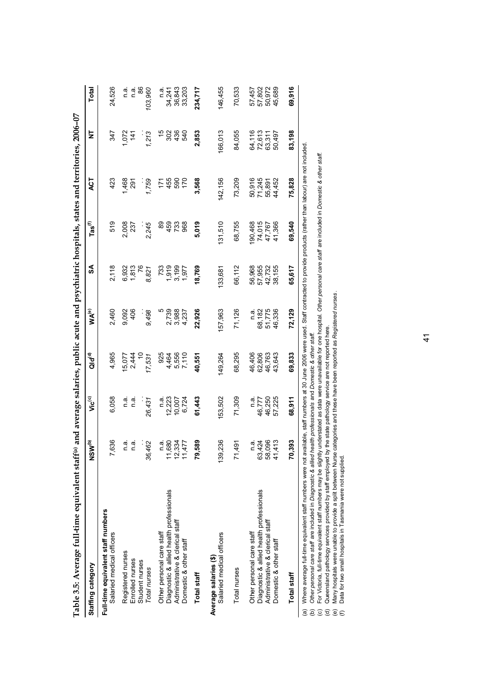|                        | Table 3.5: Average full-time equivalent staff <sup>(a)</sup>                                                                                                                                                                                                                                                                                                                                                                                                                                                                                                                                                                                                                                                                                                                                                          |                                    |                                         |                                      |                                   |                                      |                                      | and average salaries, public acute and psychiatric hospitals, states and territories, 2006-07 |                                      |                                      |
|------------------------|-----------------------------------------------------------------------------------------------------------------------------------------------------------------------------------------------------------------------------------------------------------------------------------------------------------------------------------------------------------------------------------------------------------------------------------------------------------------------------------------------------------------------------------------------------------------------------------------------------------------------------------------------------------------------------------------------------------------------------------------------------------------------------------------------------------------------|------------------------------------|-----------------------------------------|--------------------------------------|-----------------------------------|--------------------------------------|--------------------------------------|-----------------------------------------------------------------------------------------------|--------------------------------------|--------------------------------------|
|                        | Staffing category                                                                                                                                                                                                                                                                                                                                                                                                                                                                                                                                                                                                                                                                                                                                                                                                     | NSW <sup>(b)</sup>                 | Vic <sup>(c)</sup>                      | $Q_1 d^{(d)}$                        | $MA^{(e)}$                        | వ                                    | $\textsf{Las}^\textsf{(f)}$          | ACT                                                                                           | ā                                    | Total                                |
|                        | Full-time equivalent staff numbers<br>Salaried medical officers                                                                                                                                                                                                                                                                                                                                                                                                                                                                                                                                                                                                                                                                                                                                                       | 7,636                              | 6,058                                   | 4,965                                | 2,460                             | 2,118                                | 519                                  | 423                                                                                           | 347                                  | 24,526                               |
|                        | Registered nurses<br>Enrolled nurses<br>Student nurses<br>Total nurses                                                                                                                                                                                                                                                                                                                                                                                                                                                                                                                                                                                                                                                                                                                                                | œ<br>36,462<br>ιó.<br>Ξ<br>Ξ       | n.a.<br>e.⊓<br>26,431                   | 15,077<br>2,444<br>17,531            | 9,092<br>406<br>9,498             | 6,932<br>1,813<br>76<br>8,821        | 2,008<br>2,245                       | 1,468<br>1,759<br>291                                                                         | 1,072<br>1,213<br>141                | 88<br>103,960<br>n.a.<br>ة<br>C      |
|                        | Diagnostic & allied health professionals<br>Administrative & clerical staff<br>Other personal care staff<br>Domestic & other staff                                                                                                                                                                                                                                                                                                                                                                                                                                                                                                                                                                                                                                                                                    | n.a.<br>11,680<br>12,334<br>11,477 | $12,223$<br>$10,007$<br>$6,724$<br>n.a. | 925<br>5,556<br>7,110<br>4,464       | Ю<br>2,739<br>3,988<br>4,237      | 733<br>3,199<br>1,919<br>1,977       | 89<br>733<br>968<br>459              | 455<br>590<br>170<br>171                                                                      | 15<br>436<br>302<br>540              | 34, 241<br>36, 843<br>33,203<br>n a  |
|                        | Total staff                                                                                                                                                                                                                                                                                                                                                                                                                                                                                                                                                                                                                                                                                                                                                                                                           | 79,589                             | 61,443                                  | 40,551                               | 22,926                            | 18,769                               | 5,019                                | 3,568                                                                                         | 2,853                                | 234,717                              |
|                        | Salaried medical officers<br>Average salaries (\$)                                                                                                                                                                                                                                                                                                                                                                                                                                                                                                                                                                                                                                                                                                                                                                    | 139,236                            | 53,502                                  | 149,264                              | 57,963                            | 133,681                              | 31,510                               | 142,156                                                                                       | 166,013                              | 146,455                              |
|                        | Total nurses                                                                                                                                                                                                                                                                                                                                                                                                                                                                                                                                                                                                                                                                                                                                                                                                          | 71,491                             | 71,309                                  | 68,295                               | 71,126                            | 66,112                               | 68,755                               | 73,209                                                                                        | 84,055                               | 70,533                               |
|                        | Diagnostic & allied health professionals<br>Administrative & clerical staff<br>Other personal care staff<br>Domestic & other staff                                                                                                                                                                                                                                                                                                                                                                                                                                                                                                                                                                                                                                                                                    | 63,424<br>58,096<br>41,413<br>n a. | 57,225<br>46,250<br>46,777<br>n.a.      | 62,806<br>46,406<br>46,763<br>43,643 | 51,775<br>46,336<br>68,182<br>n.a | 56,968<br>42,732<br>38,155<br>57,955 | 90,468<br>74,015<br>41,366<br>47,767 | 50,916<br>71,245<br>44,452<br>55,891                                                          | 64,116<br>72,613<br>63,311<br>50,497 | 57,802<br>50,972<br>45,689<br>57,457 |
|                        | Total staff                                                                                                                                                                                                                                                                                                                                                                                                                                                                                                                                                                                                                                                                                                                                                                                                           | 70,393                             | 68,911                                  | 69,833                               | 72,129                            | 65,617                               | 69,540                               | 75,828                                                                                        | 83,198                               | 69,916                               |
| ê<br>ම<br>ම<br>ਰੁ<br>⊙ | Where average full-time equivalent staff numbers were not available, staff numbers at 30 June 2006 were used. Staff contracted to provide products (rather than labour) are not included<br>For Victoria, full-time equivalent staff numbers may be slightly understated as data were unavailable for one hospital. Other personal care staff are included in Dornestic & other staff.<br>Many hospitals were unable to provide a split between Nurse categories and these have been reported as Registered nurses.<br>Queensland pathology services provided by staff employed by the state pathology service are not reported here.<br>Other personal care staff are included in Diagnostic & allied health professionals and Domestic & other staff<br>Data for two small hospitals in Tasmania were not supplied. |                                    |                                         |                                      |                                   |                                      |                                      |                                                                                               |                                      |                                      |

(a) Where average full-time equivalent staff numbers were not available, staff numbers at 30 June 2006 were used. Staff contracted to provide products (rather than labour) are not included. Where average full-time equivalent staff numbers were not available, staff numbers at 30 June 2006 were used. Staff contracted to provide products (rather than labour) are not include<br>*Other personal care staff* are includ

 $\frac{1}{4}$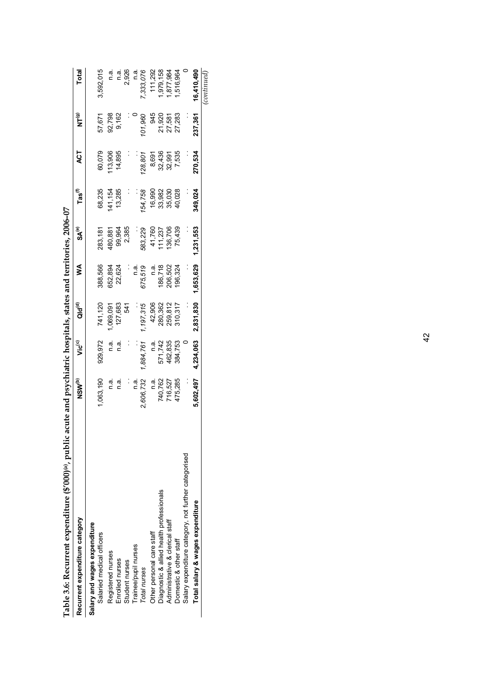| Table 3.6: Recurrent expenditure (\$'000)(a), public acute and psychiatric hospitals, states and territories, 2006-07 |                    |                    |                    |           |           |                             |         |         |            |
|-----------------------------------------------------------------------------------------------------------------------|--------------------|--------------------|--------------------|-----------|-----------|-----------------------------|---------|---------|------------|
| Recurrent expenditure category                                                                                        | NSW <sup>(b)</sup> | vic <sup>(c)</sup> | ald <sup>(d)</sup> | ⋚         | SA®       | $\mathsf{ras}^\mathfrak{h}$ | ACT     | е<br>Ри | Total      |
| Salary and wages expenditure                                                                                          |                    |                    |                    |           |           |                             |         |         |            |
| Salaried medical officers                                                                                             | 1,063,190          | 929,972            | 741,120            | 388,566   | 283,181   | 68,235                      | 60,079  | 57,671  | 3,592,015  |
| Registered nurses                                                                                                     | a.<br>⊂            | n a.               | ,069,091           | 652,894   | 480,881   | 141,154                     | 13,906  | 92,798  | n.a.       |
| Enrolled nurses                                                                                                       | n.a.               | n.a.               | 127,683            | 22,624    | 99,964    | 13,285                      | 14,895  | 9,162   | a.<br>⊂    |
| Student nurses                                                                                                        |                    |                    | 541                |           | 2,385     |                             |         |         | 2,926      |
| Trainee/pupil nurses                                                                                                  | n a                |                    |                    | n.a       |           |                             |         |         | n.a        |
| Total nurses                                                                                                          | 2,606,732          | 1,884,761          | 1,197,315          | 675,519   | 583,229   | 54,758                      | 28,801  | 01,960  | ,333,076   |
| Other personal care staff                                                                                             | n a.               | n.a.               | 42,906             | n a       | 41,760    | 16,990                      | 8,691   | 945     | 111,292    |
| Diagnostic & allied health professionals                                                                              | 740,762            | 571,742            | 280,362            | 186,718   | 11,237    | 33,982                      | 32,436  | 21,920  | ,979,158   |
| Administrative & clerical staff                                                                                       | 716,527            | 462,835            | 259,812            | 206,502   | 136,706   | 35,030                      | 32,991  | 27,581  | 877,984    |
| Domestic & other staff                                                                                                | 475,285            | 384,753            | 310,317            | 196,324   | 75,439    | 40,028                      | 7,535   | 27,283  | ,516,964   |
| Salary expenditure category, not further categorised                                                                  |                    |                    |                    |           |           |                             |         |         |            |
| Total salary & wages expenditure                                                                                      | 5,602,497          | 4,234,063          | 2,831,830          | 1,653,629 | 1,231,553 | 349,024                     | 270,534 | 237,361 | 16.410.490 |
|                                                                                                                       |                    |                    |                    |           |           |                             |         |         | continued. |

| $\sim$ |
|--------|
|        |
|        |
|        |
|        |
|        |
|        |
|        |
|        |
|        |
|        |
|        |
|        |
|        |
|        |
|        |
|        |
|        |
|        |
|        |
|        |
|        |
|        |
|        |
|        |
|        |
|        |
|        |
|        |
|        |
|        |
|        |
|        |
|        |
|        |
|        |
|        |
|        |
|        |
|        |
|        |
|        |
|        |
|        |
|        |
|        |
|        |
|        |
|        |
|        |
|        |
|        |
|        |
|        |
| l      |
|        |
|        |
|        |
|        |
| ſ      |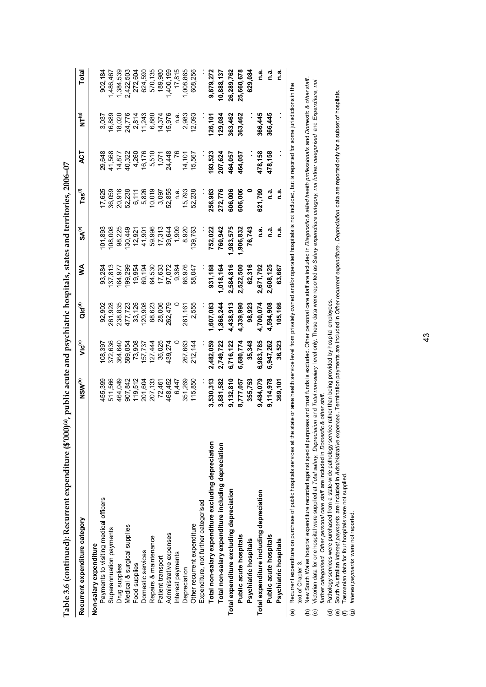| Recurrent expenditure category                                                                                                                                                                                             | NSW <sup>(b)</sup> | Vic <sup>(c)</sup> | Qld <sup>(d)</sup> | ⋚         | $S\mathsf{A}^{(e)}$ | $\mathsf{Las}^\mathsf{(f)}$ | 4CT     | $N^{(g)}$ | Total      |
|----------------------------------------------------------------------------------------------------------------------------------------------------------------------------------------------------------------------------|--------------------|--------------------|--------------------|-----------|---------------------|-----------------------------|---------|-----------|------------|
| Non-salary expenditure                                                                                                                                                                                                     |                    |                    |                    |           |                     |                             |         |           |            |
| Payments to visiting medical officers                                                                                                                                                                                      | 455,399            | 08,397             | 92,902             | 93,284    | 01,893              | 17,625                      | 29,648  | 3,037     | 902,184    |
| Superannuation payments                                                                                                                                                                                                    | 511,566            | 372,636            | 261,928            | 137,813   | 108,008             | 36,059                      | 41,568  | 16,889    | ,486,467   |
| Drug supplies                                                                                                                                                                                                              | 464,049            | 364,640            | 238,835            | 164,977   | 98,225              | 20,916                      | 14,877  | 18,020    | 1,384,539  |
| Medical & surgical supplies                                                                                                                                                                                                | 907,842            | 589,854            | 477,723            | 99,299    | 30,449              | 52,238                      | 40,322  | 24,776    | 2,422,503  |
| Food supplies                                                                                                                                                                                                              | 119,512            | 73,908             | 33,126             | 19,954    | 12,921              | 6,111                       | 4,260   | 2,814     | 272,604    |
| Domestic services                                                                                                                                                                                                          | 201,604            | 157,737            | 120,908            | 69,194    | 41,901              | 5,826                       | 16,176  | 11,243    | 624,590    |
| Repairs & maintenance                                                                                                                                                                                                      | 207,133            | 27,444             | 88,623             | 64,530    | 59,996              | 10,019                      | 5,510   | 6,880     | 570,135    |
| Patient transport                                                                                                                                                                                                          | 72,461             | 36,025             | 28,006             | 17,633    | 17,313              | 3,097                       | 1,071   | 14,374    | 189,980    |
| Administrative expenses                                                                                                                                                                                                    | 468,452            | 439,274            | 262,479            | 97,072    | 39,644              | 52,855                      | 24,448  | 15,976    | ,400,199   |
| Interest payments                                                                                                                                                                                                          | 6,447              |                    |                    | 9,384     | 1,909               | n a                         |         | n.a       | 17,815     |
| Depreciation                                                                                                                                                                                                               | 351,269            | 267,663            | 261,161            | 86,976    | 8,920               | 15,793                      | 14,101  | 2,983     | ,008,865   |
| Other recurrent expenditure                                                                                                                                                                                                | 115,850            | 212,144            | 2,555              | 58,047    | 139,763             | 52,238                      | 15,567  | 12,093    | 608,256    |
| Expenditure, not further categorised                                                                                                                                                                                       |                    |                    |                    |           |                     |                             |         |           |            |
| Total non-salary expenditure excluding depreciation                                                                                                                                                                        | 1,530,313          | 2,482,059          | ,607,083           | 931,188   | 752,022             | 256,983                     | 193,523 | 126,101   | 9,879,272  |
| Total non-salary expenditure including depreciation                                                                                                                                                                        | 3,881,582          | 2,749,722          | 1,868,244          | 1,018,164 | 760,942             | 272,776                     | 207,624 | 129,084   | 10,888,137 |
| Total expenditure excluding depreciation                                                                                                                                                                                   | 9,132,810          | 6,716,122          | 4,438,913          | 2,584,816 | ,983,575            | 606,006                     | 464,057 | 363,462   | 26,289,762 |
| Public acute hospitals                                                                                                                                                                                                     | 8,777,057          | 6,680,774          | 4,339,990          | 2,522,500 | 1,906,832           | 606,006                     | 464,057 | 363,462   | 25,660,678 |
| Psychiatric hospitals                                                                                                                                                                                                      | 355,753            | 35,348             | 98,923             | 62,316    | 76,743              |                             |         |           | 629,084    |
| Total expenditure including depreciation                                                                                                                                                                                   | 9,484,079          | 6,983,785          | 4,700,074          | 2,671,792 | <u>ດີ</u>           | 621,799                     | 478,158 | 366,445   | <u>ດ່ີ</u> |
| Public acute hospitals                                                                                                                                                                                                     | 9,114,978          | 6,947,262          | 4,594,908          | 2,608,125 | <u>ດີ</u>           | <u>ດີ</u>                   | 478,158 | 366,445   | n.a.       |
| Psychiatric hospitals                                                                                                                                                                                                      | 369,101            | 36,523             | 105,166            | 63,667    | <u>ດີ</u>           | <u>ດີ</u>                   |         |           | <u>ດີ</u>  |
| (a) Recurrent expenditure on purchase of public hospitals services at the state or area health service level from privately owned and/or operated hospitals is not included, but is reported for some jurisdictions in the |                    |                    |                    |           |                     |                             |         |           |            |

**Table 3.6 (continued): Recurrent expenditure (\$'000)(a), public acute and psychiatric hospitals, states and territories, 2006–07**  Table 3.6 (continued): Recurrent expenditure (\$'000)(a), public acute and psychiatric hospitals, states and territories, 2006-07

(a) Recurrent expenditure on purchase of public hospitals services at the state or area health service level from privately owned and/or operated hospitals is not included, but is reported for some jurisdictions in the text of Chapter 3. text of Chapter 3. Recurrent expe

New South Wales hospital expenditure recorded against special purposes and trust funds is excluded. Other personal care staff are included in *Diagnostic & allied health professionals* and *Domestic & other staff*. re included in *Diagnostic & allied health professionals* and *Domestic & other staff* . Victorian data for one hospital were supplied at Total *Total Scheenbon* and Total *non-salary* level only. These data were reported as Salary expenditure category, not further categorised and Expenditure, not<br>further cate Victorian data for one hospital were supplied at Total 7olal ony, Depreciation and Total non-salary level data were reported as Salary expenditure category, not further categorised and Expenditure, not New South Wales hospital expenditure recorded against special purposes and trust funds is excluded. Other personal care staff a *further categorised. Other personal care staff* are included in *Domestic & other staff.*(b) (c)

(d) Pathology services were purchased from a state-wide pathology service rather than being provided by hospital employees.

Pathology services were purchased from a state-wide pathology service rather than being provided by hospital employees.<br>South Australian I*nterest payment*s are included in *Administrative expenses* . Termination payments South Australian Interest payments are included in Administrative expenses. Termination payments are included in Other recurrent expenditure. Depreciation data are reported only for a subset of hospitals.  $\widehat{\mathbb{C}}\oplus\widehat{\mathbb{C}}$ 

Tasmanian data for four hospitals were not supplied.

Interest payments were not reported. *Interest payments* were not reported.